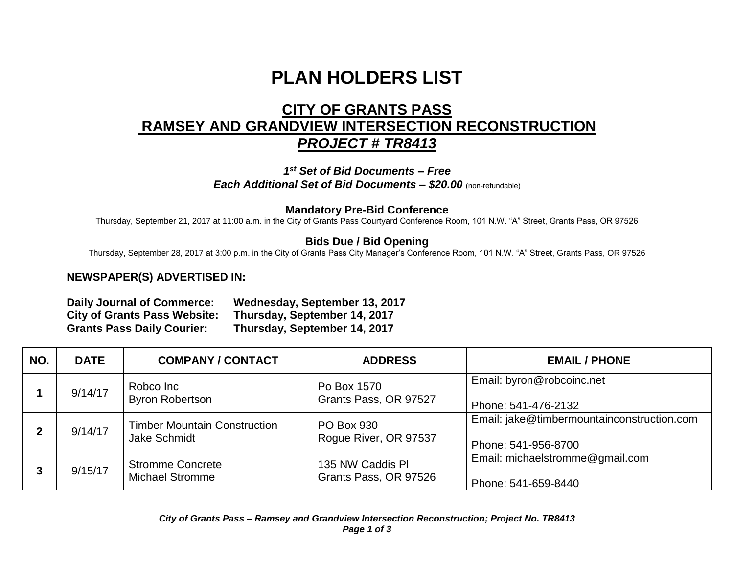# **PLAN HOLDERS LIST**

## **CITY OF GRANTS PASS RAMSEY AND GRANDVIEW INTERSECTION RECONSTRUCTION** *PROJECT # TR8413*

*1 st Set of Bid Documents – Free Each Additional Set of Bid Documents – \$20.00* (non-refundable)

#### **Mandatory Pre-Bid Conference**

Thursday, September 21, 2017 at 11:00 a.m. in the City of Grants Pass Courtyard Conference Room, 101 N.W. "A" Street, Grants Pass, OR 97526

### **Bids Due / Bid Opening**

Thursday, September 28, 2017 at 3:00 p.m. in the City of Grants Pass City Manager's Conference Room, 101 N.W. "A" Street, Grants Pass, OR 97526

#### **NEWSPAPER(S) ADVERTISED IN:**

| <b>Daily Journal of Commerce:</b>   | Wednesday, September 13, 2017 |
|-------------------------------------|-------------------------------|
| <b>City of Grants Pass Website:</b> | Thursday, September 14, 2017  |
| <b>Grants Pass Daily Courier:</b>   | Thursday, September 14, 2017  |

| NO. | <b>DATE</b> | <b>COMPANY / CONTACT</b>                            | <b>ADDRESS</b>                             | <b>EMAIL / PHONE</b>                                              |
|-----|-------------|-----------------------------------------------------|--------------------------------------------|-------------------------------------------------------------------|
|     | 9/14/17     | Robco Inc<br><b>Byron Robertson</b>                 | Po Box 1570<br>Grants Pass, OR 97527       | Email: byron@robcoinc.net<br>Phone: 541-476-2132                  |
| 2   | 9/14/17     | <b>Timber Mountain Construction</b><br>Jake Schmidt | <b>PO Box 930</b><br>Rogue River, OR 97537 | Email: jake@timbermountainconstruction.com<br>Phone: 541-956-8700 |
|     | 9/15/17     | <b>Stromme Concrete</b><br><b>Michael Stromme</b>   | 135 NW Caddis PI<br>Grants Pass, OR 97526  | Email: michaelstromme@gmail.com<br>Phone: 541-659-8440            |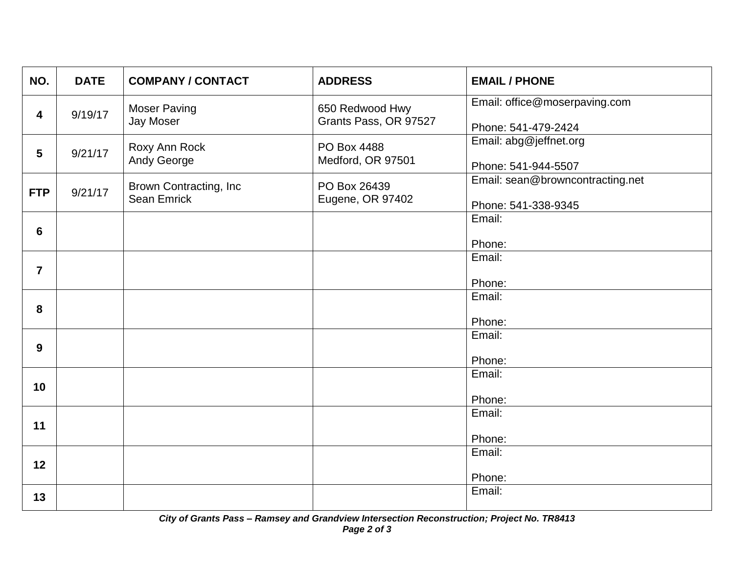| NO.                     | <b>DATE</b> | <b>COMPANY / CONTACT</b>                     | <b>ADDRESS</b>                           | <b>EMAIL / PHONE</b>                                    |
|-------------------------|-------------|----------------------------------------------|------------------------------------------|---------------------------------------------------------|
| $\overline{\mathbf{4}}$ | 9/19/17     | <b>Moser Paving</b><br>Jay Moser             | 650 Redwood Hwy<br>Grants Pass, OR 97527 | Email: office@moserpaving.com                           |
|                         |             |                                              |                                          | Phone: 541-479-2424                                     |
| $5\phantom{.0}$         | 9/21/17     | Roxy Ann Rock<br>Andy George                 | PO Box 4488<br>Medford, OR 97501         | Email: abg@jeffnet.org<br>Phone: 541-944-5507           |
| <b>FTP</b>              | 9/21/17     | Brown Contracting, Inc<br><b>Sean Emrick</b> | PO Box 26439<br>Eugene, OR 97402         | Email: sean@browncontracting.net<br>Phone: 541-338-9345 |
|                         |             |                                              |                                          | Email:                                                  |
| 6                       |             |                                              |                                          | Phone:                                                  |
|                         |             |                                              |                                          | Email:                                                  |
| $\overline{7}$          |             |                                              |                                          | Phone:                                                  |
|                         |             |                                              |                                          | Email:                                                  |
| 8                       |             |                                              |                                          | Phone:                                                  |
|                         |             |                                              |                                          | Email:                                                  |
| 9                       |             |                                              |                                          | Phone:                                                  |
|                         |             |                                              |                                          | Email:                                                  |
| 10                      |             |                                              |                                          | Phone:                                                  |
|                         |             |                                              |                                          | Email:                                                  |
| 11                      |             |                                              |                                          |                                                         |
|                         |             |                                              |                                          | Phone:                                                  |
| 12                      |             |                                              |                                          | Email:                                                  |
|                         |             |                                              |                                          | Phone:                                                  |
| 13                      |             |                                              |                                          | Email:                                                  |
|                         |             |                                              |                                          |                                                         |

*City of Grants Pass – Ramsey and Grandview Intersection Reconstruction; Project No. TR8413 Page 2 of 3*